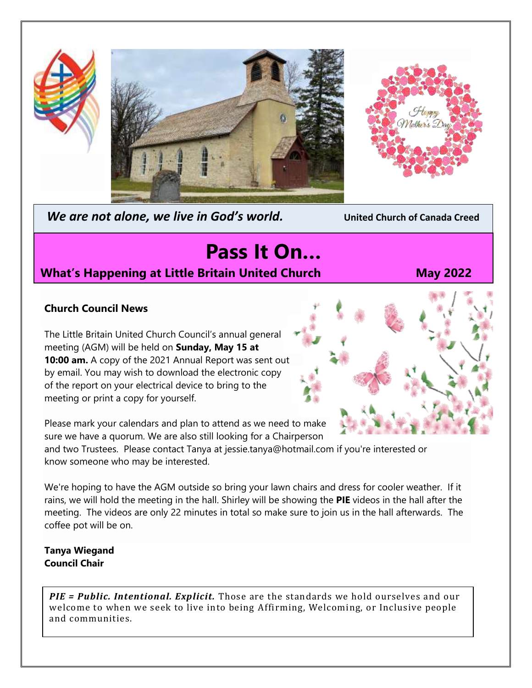



*We are not alone, we live in God's world.* **United Church of Canada Creed**

# **Pass It On…**

# **What's Happening at Little Britain United Church May 2022**

## **Church Council News**

The Little Britain United Church Council's annual general meeting (AGM) will be held on **Sunday, May 15 at 10:00 am.** A copy of the 2021 Annual Report was sent out by email. You may wish to download the electronic copy of the report on your electrical device to bring to the meeting or print a copy for yourself.



Please mark your calendars and plan to attend as we need to make sure we have a quorum. We are also still looking for a Chairperson

and two Trustees. Please contact Tanya at jessie.tanya@hotmail.com if you're interested or know someone who may be interested.

We're hoping to have the AGM outside so bring your lawn chairs and dress for cooler weather. If it rains, we will hold the meeting in the hall. Shirley will be showing the **PIE** videos in the hall after the meeting. The videos are only 22 minutes in total so make sure to join us in the hall afterwards. The coffee pot will be on.

#### **Tanya Wiegand Council Chair**

*PIE = Public. Intentional. Explicit.* Those are the standards we hold ourselves and our welcome to when we seek to live into being Affirming, Welcoming, or Inclusive people and communities.